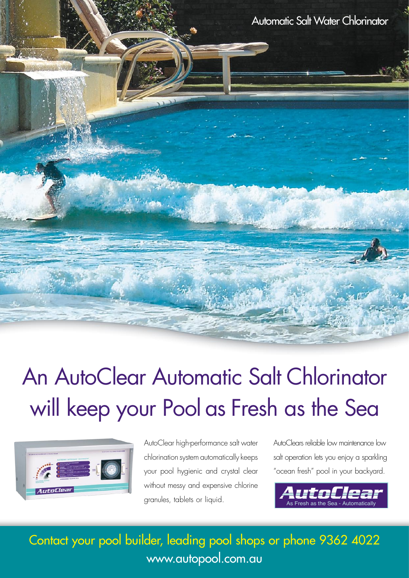Automatic Salt Water Chlorinator

# An AutoClear Automatic Salt Chlorinator will keep your Pool as Fresh as the Sea



AutoClear high-performance salt water chlorination system automatically keeps your pool hygienic and crystal clear without messy and expensive chlorine granules, tablets or liquid.

AutoClears reliable low maintenance low salt operation lets you enjoy a sparkling "ocean fresh" pool in your backyard.



Contact your pool builder, leading pool shops or phone 9362 4022 www.autopool.com.au